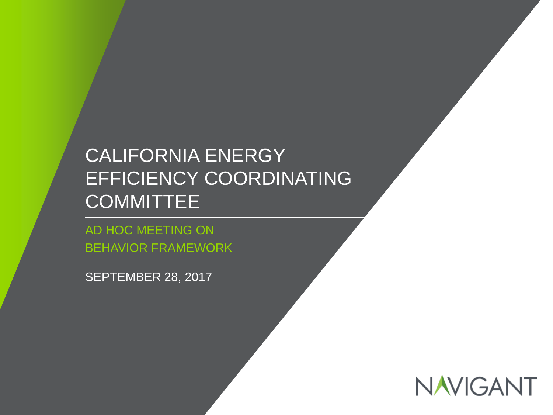## CALIFORNIA ENERGY EFFICIENCY COORDINATING **COMMITTEE**

11 / ©2017 NAVIGANT CONSULTING, INC. ALL RIGHTS RESERVED *Confidential and Proprietary*

AD HOC MEETING ON BEHAVIOR FRAMEWORK

SEPTEMBER 28, 2017

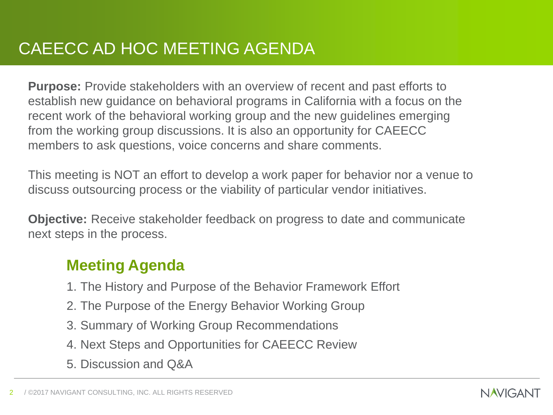**Purpose:** Provide stakeholders with an overview of recent and past efforts to establish new guidance on behavioral programs in California with a focus on the recent work of the behavioral working group and the new guidelines emerging from the working group discussions. It is also an opportunity for CAEECC members to ask questions, voice concerns and share comments.

This meeting is NOT an effort to develop a work paper for behavior nor a venue to discuss outsourcing process or the viability of particular vendor initiatives.

**Objective:** Receive stakeholder feedback on progress to date and communicate next steps in the process.

#### **Meeting Agenda**

- 1. The History and Purpose of the Behavior Framework Effort
- 2. The Purpose of the Energy Behavior Working Group
- 3. Summary of Working Group Recommendations
- 4. Next Steps and Opportunities for CAEECC Review
- 5. Discussion and Q&A

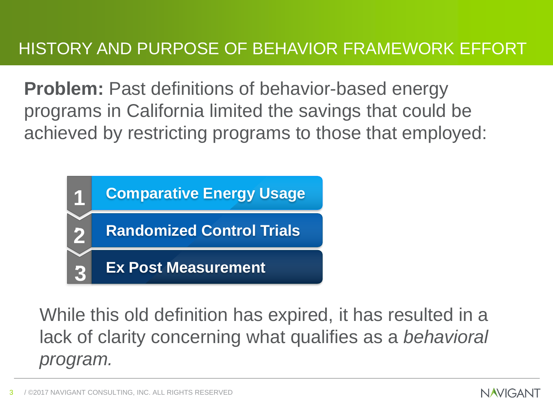**Problem:** Past definitions of behavior-based energy programs in California limited the savings that could be achieved by restricting programs to those that employed:



While this old definition has expired, it has resulted in a lack of clarity concerning what qualifies as a *behavioral program.*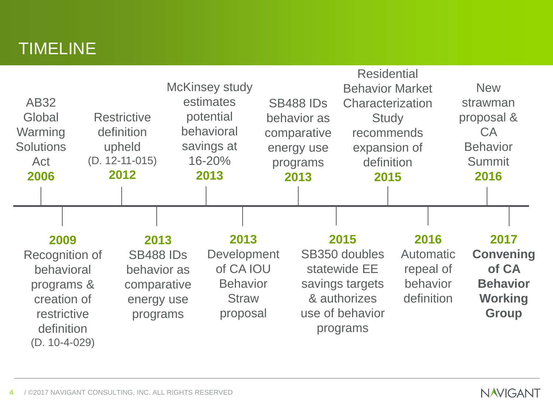## TIMELINE

| <b>AB32</b><br>Global                                                                                             |  | <b>Restrictive</b>                                                               | <b>McKinsey study</b>              | estimates<br>potential                                                          | <b>SB488 IDs</b><br>behavior as       | <b>Residential</b><br><b>Behavior Market</b><br>Characterization<br><b>Study</b>                        |                                                                 |  | <b>New</b><br>strawman<br>proposal &                                                   |  |
|-------------------------------------------------------------------------------------------------------------------|--|----------------------------------------------------------------------------------|------------------------------------|---------------------------------------------------------------------------------|---------------------------------------|---------------------------------------------------------------------------------------------------------|-----------------------------------------------------------------|--|----------------------------------------------------------------------------------------|--|
| Warming<br><b>Solutions</b><br>Act                                                                                |  | definition<br>upheld<br>$(D. 12-11-015)$                                         | behavioral<br>savings at<br>16-20% |                                                                                 | comparative<br>energy use<br>programs |                                                                                                         | recommends<br>expansion of<br>definition                        |  | <b>CA</b><br><b>Behavior</b><br><b>Summit</b>                                          |  |
| 2006                                                                                                              |  | 2012                                                                             |                                    | 2013                                                                            | 2013                                  | 2015                                                                                                    |                                                                 |  | 2016                                                                                   |  |
|                                                                                                                   |  |                                                                                  |                                    |                                                                                 |                                       |                                                                                                         |                                                                 |  |                                                                                        |  |
| 2009<br>Recognition of<br>behavioral<br>programs &<br>creation of<br>restrictive<br>definition<br>$(D. 10-4-029)$ |  | 2013<br><b>SB488 IDs</b><br>behavior as<br>comparative<br>energy use<br>programs |                                    | 2013<br>Development<br>of CA IOU<br><b>Behavior</b><br><b>Straw</b><br>proposal |                                       | 2015<br>SB350 doubles<br>statewide EE<br>savings targets<br>& authorizes<br>use of behavior<br>programs | 2016<br><b>Automatic</b><br>repeal of<br>behavior<br>definition |  | 2017<br><b>Convening</b><br>of CA<br><b>Behavior</b><br><b>Working</b><br><b>Group</b> |  |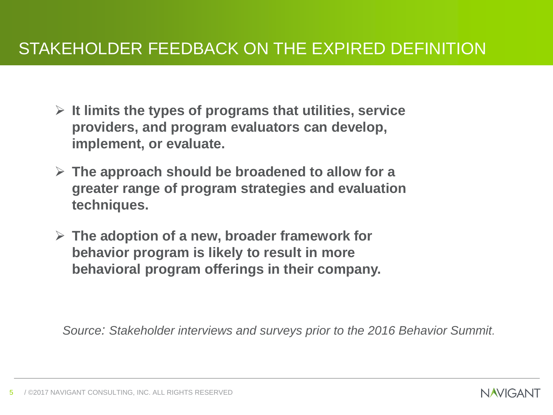#### STAKEHOLDER FEEDBACK ON THE EXPIRED DEFINITION

- ➢ **It limits the types of programs that utilities, service providers, and program evaluators can develop, implement, or evaluate.**
- ➢ **The approach should be broadened to allow for a greater range of program strategies and evaluation techniques.**
- ➢ **The adoption of a new, broader framework for behavior program is likely to result in more behavioral program offerings in their company.**

*Source: Stakeholder interviews and surveys prior to the 2016 Behavior Summit.*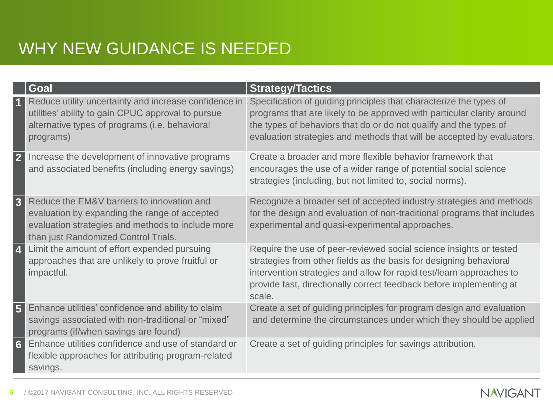## WHY NEW GUIDANCE IS NEEDED

|                         | Goal                                                                                                                                                                                     | <b>Strategy/Tactics</b>                                                                                                                                                                                                                                                                           |
|-------------------------|------------------------------------------------------------------------------------------------------------------------------------------------------------------------------------------|---------------------------------------------------------------------------------------------------------------------------------------------------------------------------------------------------------------------------------------------------------------------------------------------------|
|                         | Reduce utility uncertainty and increase confidence in<br>utilities' ability to gain CPUC approval to pursue<br>alternative types of programs (i.e. behavioral<br>programs)               | Specification of guiding principles that characterize the types of<br>programs that are likely to be approved with particular clarity around<br>the types of behaviors that do or do not qualify and the types of<br>evaluation strategies and methods that will be accepted by evaluators.       |
|                         | Increase the development of innovative programs<br>and associated benefits (including energy savings)                                                                                    | Create a broader and more flexible behavior framework that<br>encourages the use of a wider range of potential social science<br>strategies (including, but not limited to, social norms).                                                                                                        |
| $\overline{\mathbf{3}}$ | Reduce the EM&V barriers to innovation and<br>evaluation by expanding the range of accepted<br>evaluation strategies and methods to include more<br>than just Randomized Control Trials. | Recognize a broader set of accepted industry strategies and methods<br>for the design and evaluation of non-traditional programs that includes<br>experimental and quasi-experimental approaches.                                                                                                 |
|                         | Limit the amount of effort expended pursuing<br>approaches that are unlikely to prove fruitful or<br>impactful.                                                                          | Require the use of peer-reviewed social science insights or tested<br>strategies from other fields as the basis for designing behavioral<br>intervention strategies and allow for rapid test/learn approaches to<br>provide fast, directionally correct feedback before implementing at<br>scale. |
| $5\phantom{1}$          | Enhance utilities' confidence and ability to claim<br>savings associated with non-traditional or "mixed"<br>programs (if/when savings are found)                                         | Create a set of guiding principles for program design and evaluation<br>and determine the circumstances under which they should be applied                                                                                                                                                        |
| $6 \overline{6}$        | Enhance utilities confidence and use of standard or<br>flexible approaches for attributing program-related<br>savings.                                                                   | Create a set of guiding principles for savings attribution.                                                                                                                                                                                                                                       |

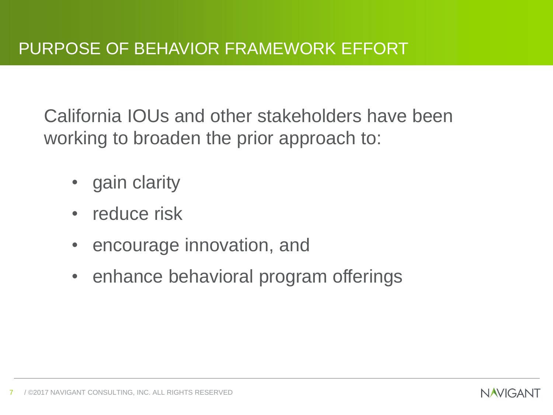California IOUs and other stakeholders have been working to broaden the prior approach to:

- gain clarity
- reduce risk
- encourage innovation, and
- enhance behavioral program offerings

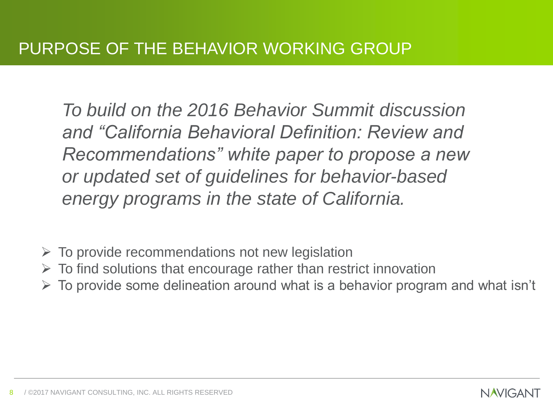*To build on the 2016 Behavior Summit discussion and "California Behavioral Definition: Review and Recommendations" white paper to propose a new or updated set of guidelines for behavior-based energy programs in the state of California.*

- $\triangleright$  To provide recommendations not new legislation
- $\triangleright$  To find solutions that encourage rather than restrict innovation
- $\triangleright$  To provide some delineation around what is a behavior program and what isn't

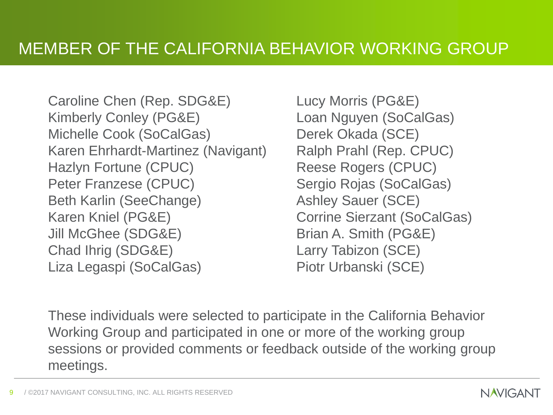Caroline Chen (Rep. SDG&E) Kimberly Conley (PG&E) Michelle Cook (SoCalGas) Karen Ehrhardt-Martinez (Navigant) Hazlyn Fortune (CPUC) Peter Franzese (CPUC) Beth Karlin (SeeChange) Karen Kniel (PG&E) Jill McGhee (SDG&E) Chad Ihrig (SDG&E) Liza Legaspi (SoCalGas)

Lucy Morris (PG&E) Loan Nguyen (SoCalGas) Derek Okada (SCE) Ralph Prahl (Rep. CPUC) Reese Rogers (CPUC) Sergio Rojas (SoCalGas) Ashley Sauer (SCE) Corrine Sierzant (SoCalGas) Brian A. Smith (PG&E) Larry Tabizon (SCE) Piotr Urbanski (SCE)

These individuals were selected to participate in the California Behavior Working Group and participated in one or more of the working group sessions or provided comments or feedback outside of the working group meetings.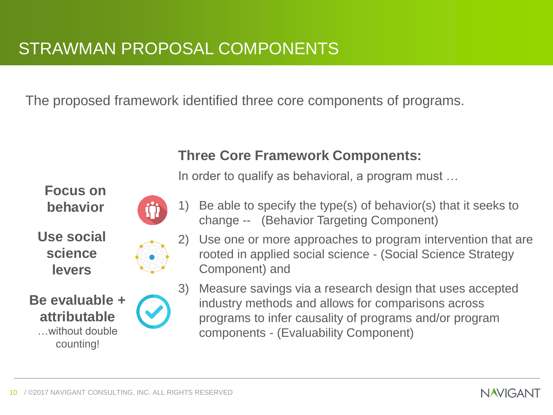The proposed framework identified three core components of programs.

#### **Three Core Framework Components:**

In order to qualify as behavioral, a program must …

**Focus on behavior**

**Use social science levers**



1) Be able to specify the type(s) of behavior(s) that it seeks to change -- (Behavior Targeting Component)



**Be evaluable + attributable**  …without double counting!

2) Use one or more approaches to program intervention that are rooted in applied social science - (Social Science Strategy Component) and

3) Measure savings via a research design that uses accepted industry methods and allows for comparisons across programs to infer causality of programs and/or program components - (Evaluability Component)

**NAVIGANT**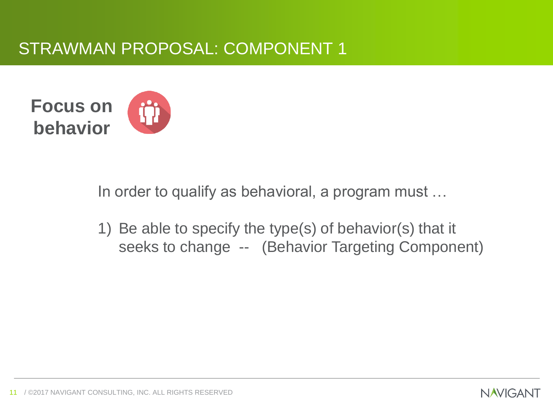#### STRAWMAN PROPOSAL: COMPONENT 1



In order to qualify as behavioral, a program must …

1) Be able to specify the type(s) of behavior(s) that it seeks to change -- (Behavior Targeting Component)

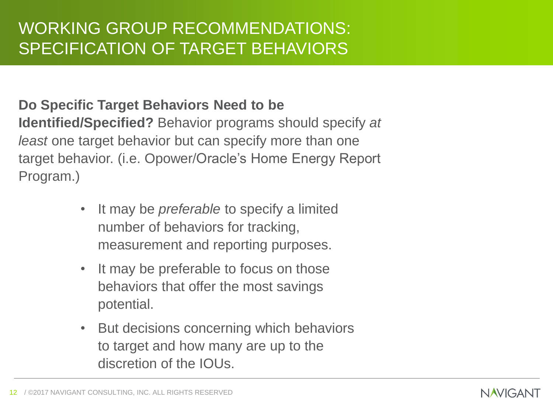#### **Do Specific Target Behaviors Need to be**

**Identified/Specified?** Behavior programs should specify *at least* one target behavior but can specify more than one target behavior. (i.e. Opower/Oracle's Home Energy Report Program.)

- It may be *preferable* to specify a limited number of behaviors for tracking, measurement and reporting purposes.
- It may be preferable to focus on those behaviors that offer the most savings potential.
- But decisions concerning which behaviors to target and how many are up to the discretion of the IOUs.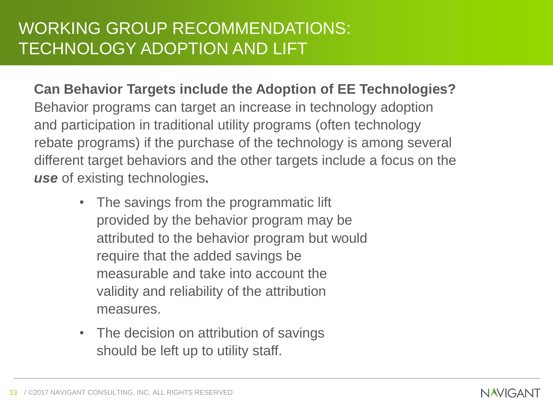## WORKING GROUP RECOMMENDATIONS: TECHNOLOGY ADOPTION AND LIFT

**Can Behavior Targets include the Adoption of EE Technologies?**  Behavior programs can target an increase in technology adoption and participation in traditional utility programs (often technology rebate programs) if the purchase of the technology is among several different target behaviors and the other targets include a focus on the *use* of existing technologies**.**

- The savings from the programmatic lift provided by the behavior program may be attributed to the behavior program but would require that the added savings be measurable and take into account the validity and reliability of the attribution measures.
- The decision on attribution of savings should be left up to utility staff.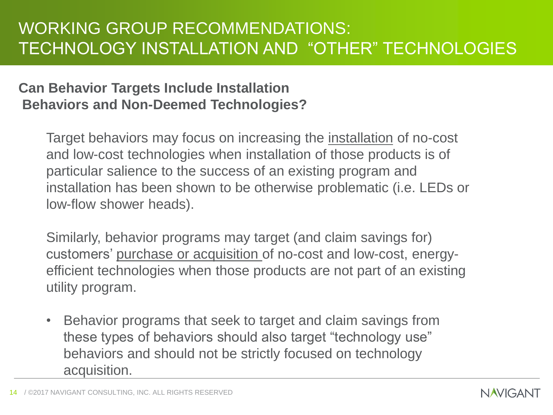#### **Can Behavior Targets Include Installation Behaviors and Non-Deemed Technologies?**

Target behaviors may focus on increasing the installation of no-cost and low-cost technologies when installation of those products is of particular salience to the success of an existing program and installation has been shown to be otherwise problematic (i.e. LEDs or low-flow shower heads).

Similarly, behavior programs may target (and claim savings for) customers' purchase or acquisition of no-cost and low-cost, energyefficient technologies when those products are not part of an existing utility program.

• Behavior programs that seek to target and claim savings from these types of behaviors should also target "technology use" behaviors and should not be strictly focused on technology acquisition.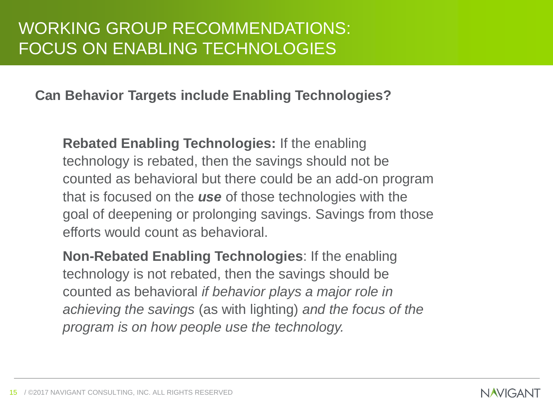**Can Behavior Targets include Enabling Technologies?** 

**Rebated Enabling Technologies:** If the enabling technology is rebated, then the savings should not be counted as behavioral but there could be an add-on program that is focused on the *use* of those technologies with the goal of deepening or prolonging savings. Savings from those efforts would count as behavioral.

**Non-Rebated Enabling Technologies**: If the enabling technology is not rebated, then the savings should be counted as behavioral *if behavior plays a major role in achieving the savings* (as with lighting) *and the focus of the program is on how people use the technology.*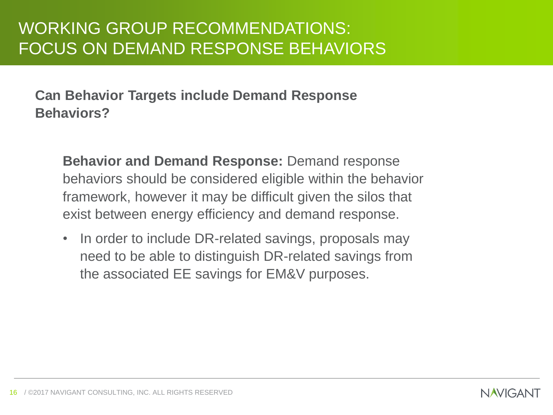**Can Behavior Targets include Demand Response Behaviors?** 

**Behavior and Demand Response:** Demand response behaviors should be considered eligible within the behavior framework, however it may be difficult given the silos that exist between energy efficiency and demand response.

• In order to include DR-related savings, proposals may need to be able to distinguish DR-related savings from the associated EE savings for EM&V purposes.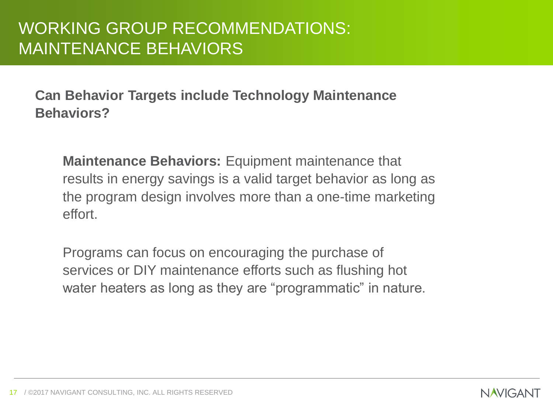**Can Behavior Targets include Technology Maintenance Behaviors?** 

**Maintenance Behaviors:** Equipment maintenance that results in energy savings is a valid target behavior as long as the program design involves more than a one-time marketing effort.

Programs can focus on encouraging the purchase of services or DIY maintenance efforts such as flushing hot water heaters as long as they are "programmatic" in nature.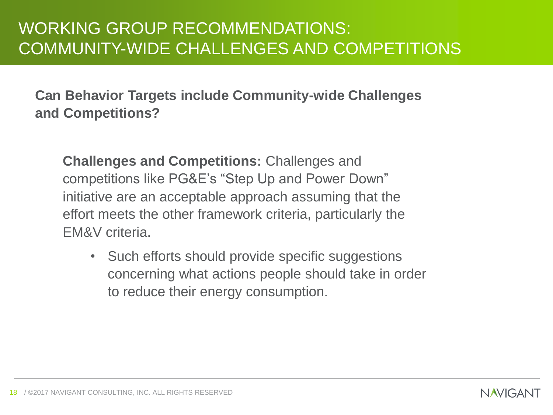**Can Behavior Targets include Community-wide Challenges and Competitions?**

**Challenges and Competitions:** Challenges and competitions like PG&E's "Step Up and Power Down" initiative are an acceptable approach assuming that the effort meets the other framework criteria, particularly the EM&V criteria.

• Such efforts should provide specific suggestions concerning what actions people should take in order to reduce their energy consumption.

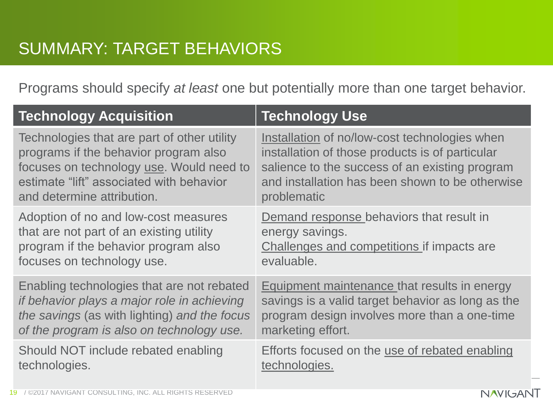Programs should specify *at least* one but potentially more than one target behavior.

| <b>Technology Acquisition</b>                | <b>Technology Use</b>                               |
|----------------------------------------------|-----------------------------------------------------|
| Technologies that are part of other utility  | Installation of no/low-cost technologies when       |
| programs if the behavior program also        | installation of those products is of particular     |
| focuses on technology use. Would need to     | salience to the success of an existing program      |
| estimate "lift" associated with behavior     | and installation has been shown to be otherwise     |
| and determine attribution.                   | problematic                                         |
| Adoption of no and low-cost measures         | Demand response behaviors that result in            |
| that are not part of an existing utility     | energy savings.                                     |
| program if the behavior program also         | Challenges and competitions if impacts are          |
| focuses on technology use.                   | evaluable.                                          |
| Enabling technologies that are not rebated   | <b>Equipment maintenance that results in energy</b> |
| if behavior plays a major role in achieving  | savings is a valid target behavior as long as the   |
| the savings (as with lighting) and the focus | program design involves more than a one-time        |
| of the program is also on technology use.    | marketing effort.                                   |
| Should NOT include rebated enabling          | Efforts focused on the use of rebated enabling      |
| technologies.                                | technologies.                                       |

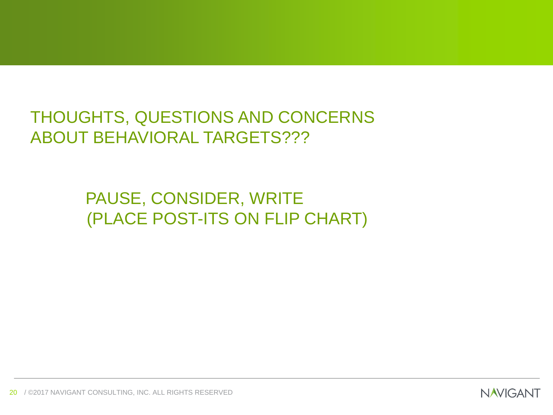THOUGHTS, QUESTIONS AND CONCERNS ABOUT BEHAVIORAL TARGETS???

> PAUSE, CONSIDER, WRITE (PLACE POST-ITS ON FLIP CHART)

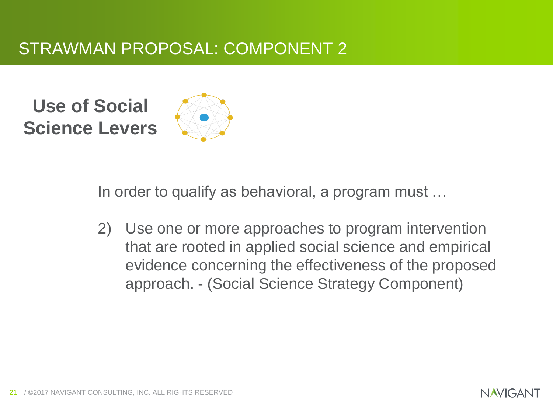## STRAWMAN PROPOSAL: COMPONENT 2

**Use of Social Science Levers**



In order to qualify as behavioral, a program must …

2) Use one or more approaches to program intervention that are rooted in applied social science and empirical evidence concerning the effectiveness of the proposed approach. - (Social Science Strategy Component)

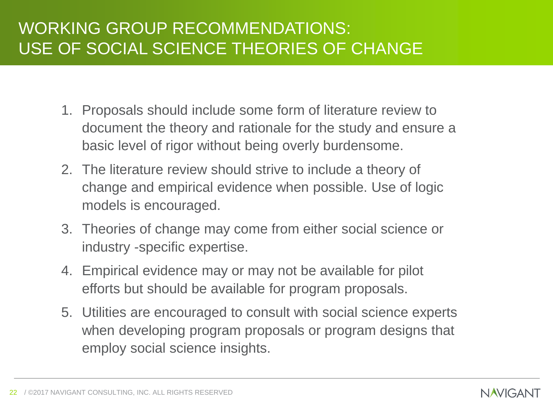- 1. Proposals should include some form of literature review to document the theory and rationale for the study and ensure a basic level of rigor without being overly burdensome.
- 2. The literature review should strive to include a theory of change and empirical evidence when possible. Use of logic models is encouraged.
- 3. Theories of change may come from either social science or industry -specific expertise.
- 4. Empirical evidence may or may not be available for pilot efforts but should be available for program proposals.
- 5. Utilities are encouraged to consult with social science experts when developing program proposals or program designs that employ social science insights.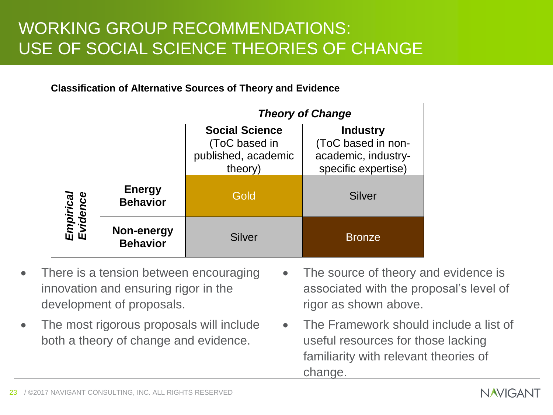#### **Classification of Alternative Sources of Theory and Evidence**

|                       |                                  | <b>Theory of Change</b>                                                  |                                                                                     |  |  |
|-----------------------|----------------------------------|--------------------------------------------------------------------------|-------------------------------------------------------------------------------------|--|--|
|                       |                                  | <b>Social Science</b><br>(ToC based in<br>published, academic<br>theory) | <b>Industry</b><br>(ToC based in non-<br>academic, industry-<br>specific expertise) |  |  |
| Empirical<br>Evidence | <b>Energy</b><br><b>Behavior</b> | Gold                                                                     | <b>Silver</b>                                                                       |  |  |
|                       | Non-energy<br><b>Behavior</b>    | Silver                                                                   | <b>Bronze</b>                                                                       |  |  |

- There is a tension between encouraging innovation and ensuring rigor in the development of proposals.
- The most rigorous proposals will include both a theory of change and evidence.
- The source of theory and evidence is associated with the proposal's level of rigor as shown above.
- The Framework should include a list of useful resources for those lacking familiarity with relevant theories of change.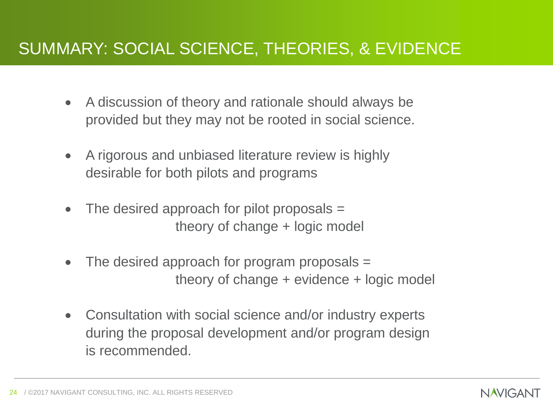#### SUMMARY: SOCIAL SCIENCE, THEORIES, & EVIDENCE

- A discussion of theory and rationale should always be provided but they may not be rooted in social science.
- A rigorous and unbiased literature review is highly desirable for both pilots and programs
- The desired approach for pilot proposals = theory of change + logic model
- The desired approach for program proposals = theory of change + evidence + logic model
- Consultation with social science and/or industry experts during the proposal development and/or program design is recommended.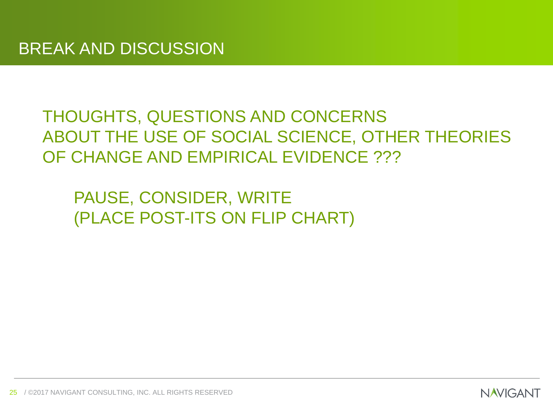#### THOUGHTS, QUESTIONS AND CONCERNS ABOUT THE USE OF SOCIAL SCIENCE, OTHER THEORIES OF CHANGE AND EMPIRICAL EVIDENCE ???

PAUSE, CONSIDER, WRITE (PLACE POST-ITS ON FLIP CHART)

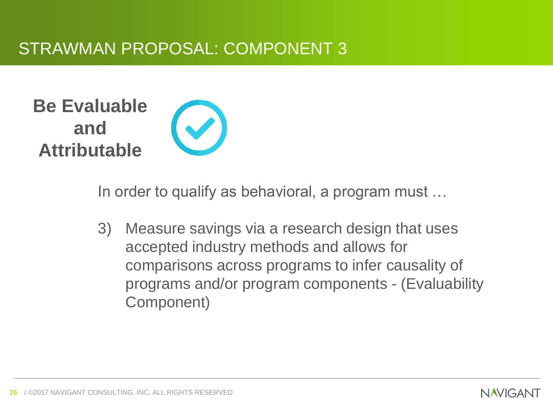## **Be Evaluable and Attributable**

In order to qualify as behavioral, a program must …

3) Measure savings via a research design that uses accepted industry methods and allows for comparisons across programs to infer causality of programs and/or program components - (Evaluability Component)

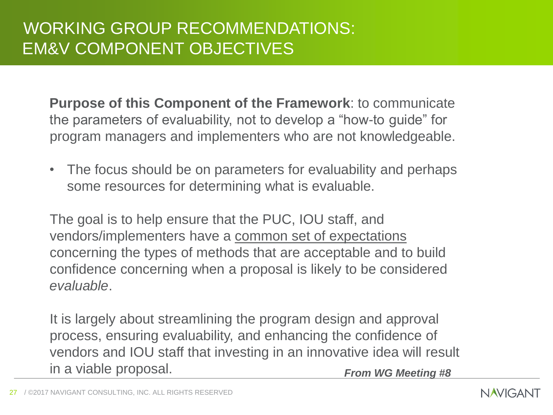**Purpose of this Component of the Framework**: to communicate the parameters of evaluability, not to develop a "how-to guide" for program managers and implementers who are not knowledgeable.

• The focus should be on parameters for evaluability and perhaps some resources for determining what is evaluable.

The goal is to help ensure that the PUC, IOU staff, and vendors/implementers have a common set of expectations concerning the types of methods that are acceptable and to build confidence concerning when a proposal is likely to be considered *evaluable*.

It is largely about streamlining the program design and approval process, ensuring evaluability, and enhancing the confidence of vendors and IOU staff that investing in an innovative idea will result in a viable proposal. *From WG Meeting #8*

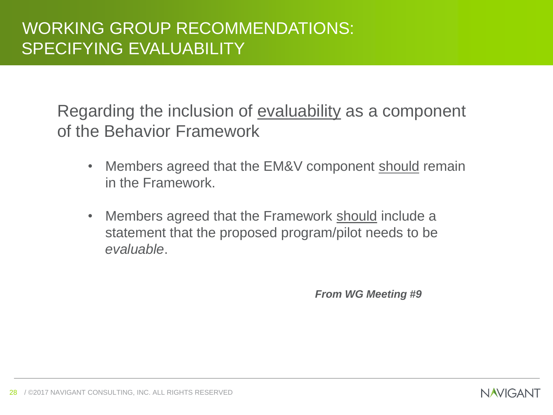Regarding the inclusion of evaluability as a component of the Behavior Framework

- Members agreed that the EM&V component should remain in the Framework.
- Members agreed that the Framework should include a statement that the proposed program/pilot needs to be *evaluable*.

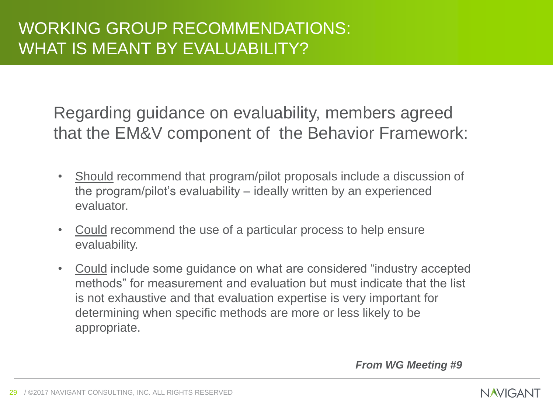Regarding guidance on evaluability, members agreed that the EM&V component of the Behavior Framework:

- Should recommend that program/pilot proposals include a discussion of the program/pilot's evaluability – ideally written by an experienced evaluator.
- Could recommend the use of a particular process to help ensure evaluability.
- Could include some guidance on what are considered "industry accepted methods" for measurement and evaluation but must indicate that the list is not exhaustive and that evaluation expertise is very important for determining when specific methods are more or less likely to be appropriate.

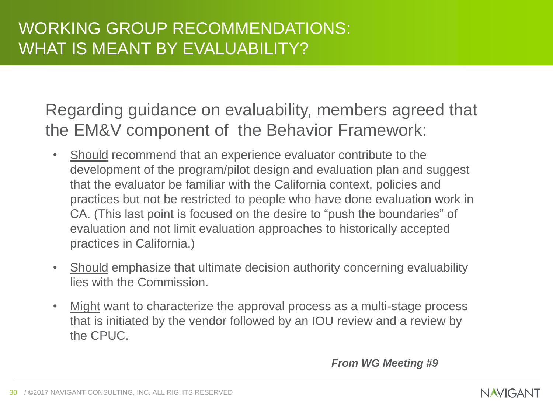Regarding guidance on evaluability, members agreed that the EM&V component of the Behavior Framework:

- Should recommend that an experience evaluator contribute to the development of the program/pilot design and evaluation plan and suggest that the evaluator be familiar with the California context, policies and practices but not be restricted to people who have done evaluation work in CA. (This last point is focused on the desire to "push the boundaries" of evaluation and not limit evaluation approaches to historically accepted practices in California.)
- Should emphasize that ultimate decision authority concerning evaluability lies with the Commission.
- Might want to characterize the approval process as a multi-stage process that is initiated by the vendor followed by an IOU review and a review by the CPUC.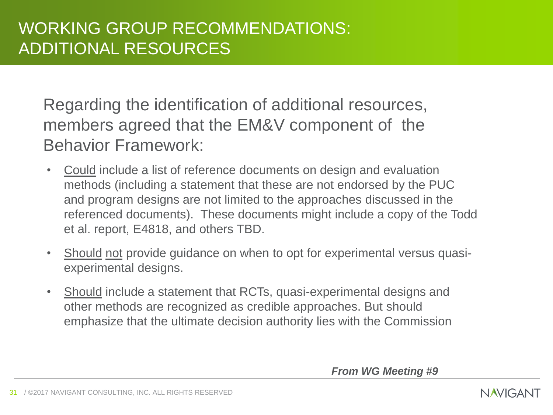Regarding the identification of additional resources, members agreed that the EM&V component of the Behavior Framework:

- Could include a list of reference documents on design and evaluation methods (including a statement that these are not endorsed by the PUC and program designs are not limited to the approaches discussed in the referenced documents). These documents might include a copy of the Todd et al. report, E4818, and others TBD.
- Should not provide guidance on when to opt for experimental versus quasiexperimental designs.
- Should include a statement that RCTs, quasi-experimental designs and other methods are recognized as credible approaches. But should emphasize that the ultimate decision authority lies with the Commission

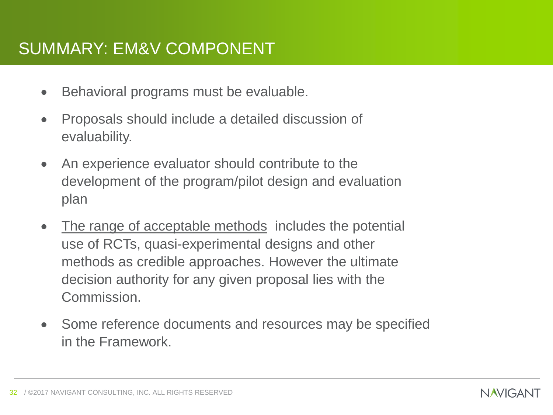#### SUMMARY: EM&V COMPONENT

- Behavioral programs must be evaluable.
- Proposals should include a detailed discussion of evaluability.
- An experience evaluator should contribute to the development of the program/pilot design and evaluation plan
- The range of acceptable methods includes the potential use of RCTs, quasi-experimental designs and other methods as credible approaches. However the ultimate decision authority for any given proposal lies with the Commission.
- Some reference documents and resources may be specified in the Framework.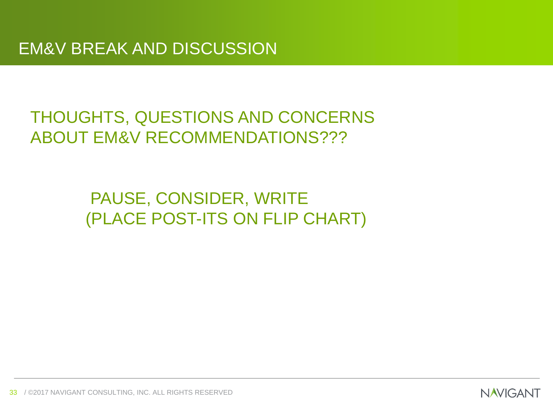## THOUGHTS, QUESTIONS AND CONCERNS ABOUT EM&V RECOMMENDATIONS???

## PAUSE, CONSIDER, WRITE (PLACE POST-ITS ON FLIP CHART)

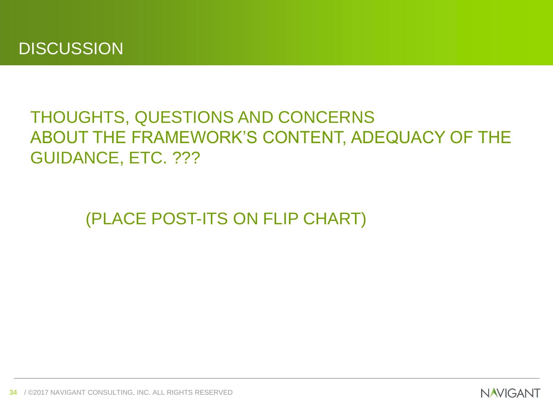## THOUGHTS, QUESTIONS AND CONCERNS ABOUT THE FRAMEWORK'S CONTENT, ADEQUACY OF THE GUIDANCE, ETC. ???

(PLACE POST-ITS ON FLIP CHART)

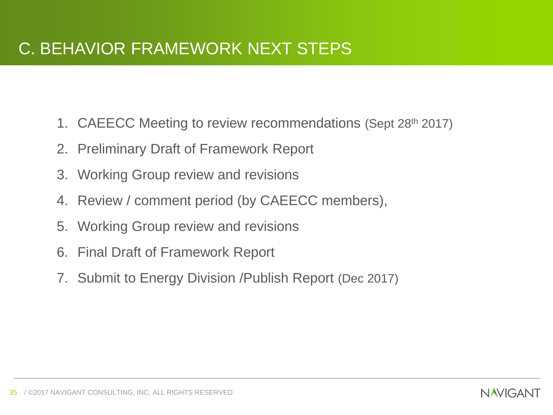- 1. CAEECC Meeting to review recommendations (Sept 28th 2017)
- 2. Preliminary Draft of Framework Report
- 3. Working Group review and revisions
- 4. Review / comment period (by CAEECC members),
- 5. Working Group review and revisions
- 6. Final Draft of Framework Report
- 7. Submit to Energy Division /Publish Report (Dec 2017)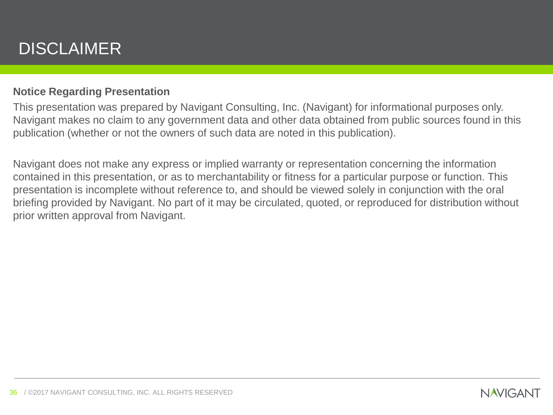## DISCLAIMER

#### **Notice Regarding Presentation**

This presentation was prepared by Navigant Consulting, Inc. (Navigant) for informational purposes only. Navigant makes no claim to any government data and other data obtained from public sources found in this publication (whether or not the owners of such data are noted in this publication).

Navigant does not make any express or implied warranty or representation concerning the information contained in this presentation, or as to merchantability or fitness for a particular purpose or function. This presentation is incomplete without reference to, and should be viewed solely in conjunction with the oral briefing provided by Navigant. No part of it may be circulated, quoted, or reproduced for distribution without prior written approval from Navigant.